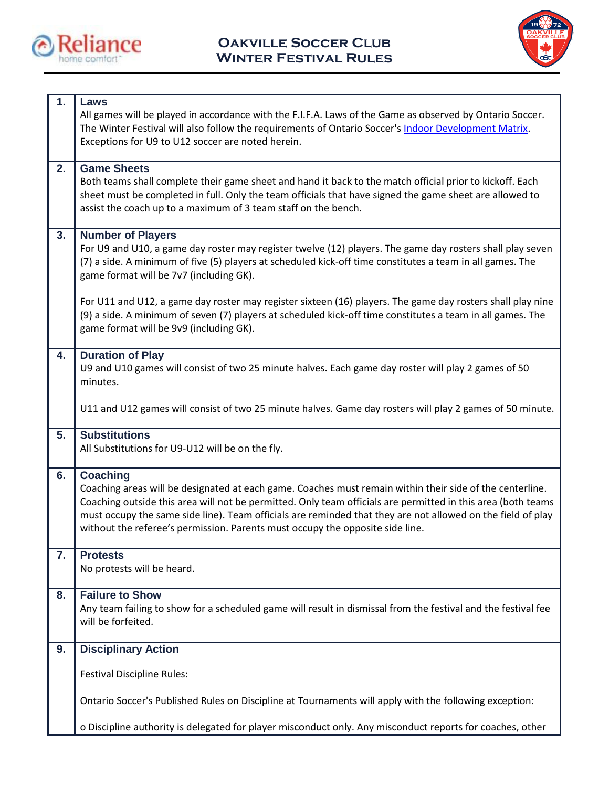



| 1. | Laws<br>All games will be played in accordance with the F.I.F.A. Laws of the Game as observed by Ontario Soccer.<br>The Winter Festival will also follow the requirements of Ontario Soccer's Indoor Development Matrix.<br>Exceptions for U9 to U12 soccer are noted herein.                                                                                                                                                               |
|----|---------------------------------------------------------------------------------------------------------------------------------------------------------------------------------------------------------------------------------------------------------------------------------------------------------------------------------------------------------------------------------------------------------------------------------------------|
| 2. | <b>Game Sheets</b><br>Both teams shall complete their game sheet and hand it back to the match official prior to kickoff. Each<br>sheet must be completed in full. Only the team officials that have signed the game sheet are allowed to<br>assist the coach up to a maximum of 3 team staff on the bench.                                                                                                                                 |
| 3. | <b>Number of Players</b><br>For U9 and U10, a game day roster may register twelve (12) players. The game day rosters shall play seven<br>(7) a side. A minimum of five (5) players at scheduled kick-off time constitutes a team in all games. The<br>game format will be 7v7 (including GK).                                                                                                                                               |
|    | For U11 and U12, a game day roster may register sixteen (16) players. The game day rosters shall play nine<br>(9) a side. A minimum of seven (7) players at scheduled kick-off time constitutes a team in all games. The<br>game format will be 9v9 (including GK).                                                                                                                                                                         |
| 4. | <b>Duration of Play</b><br>U9 and U10 games will consist of two 25 minute halves. Each game day roster will play 2 games of 50<br>minutes.                                                                                                                                                                                                                                                                                                  |
|    | U11 and U12 games will consist of two 25 minute halves. Game day rosters will play 2 games of 50 minute.                                                                                                                                                                                                                                                                                                                                    |
| 5. | <b>Substitutions</b><br>All Substitutions for U9-U12 will be on the fly.                                                                                                                                                                                                                                                                                                                                                                    |
| 6. | <b>Coaching</b><br>Coaching areas will be designated at each game. Coaches must remain within their side of the centerline.<br>Coaching outside this area will not be permitted. Only team officials are permitted in this area (both teams<br>must occupy the same side line). Team officials are reminded that they are not allowed on the field of play<br>without the referee's permission. Parents must occupy the opposite side line. |
| 7. | <b>Protests</b><br>No protests will be heard.                                                                                                                                                                                                                                                                                                                                                                                               |
| 8. | <b>Failure to Show</b><br>Any team failing to show for a scheduled game will result in dismissal from the festival and the festival fee<br>will be forfeited.                                                                                                                                                                                                                                                                               |
| 9. | <b>Disciplinary Action</b>                                                                                                                                                                                                                                                                                                                                                                                                                  |
|    | <b>Festival Discipline Rules:</b>                                                                                                                                                                                                                                                                                                                                                                                                           |
|    | Ontario Soccer's Published Rules on Discipline at Tournaments will apply with the following exception:                                                                                                                                                                                                                                                                                                                                      |
|    | o Discipline authority is delegated for player misconduct only. Any misconduct reports for coaches, other                                                                                                                                                                                                                                                                                                                                   |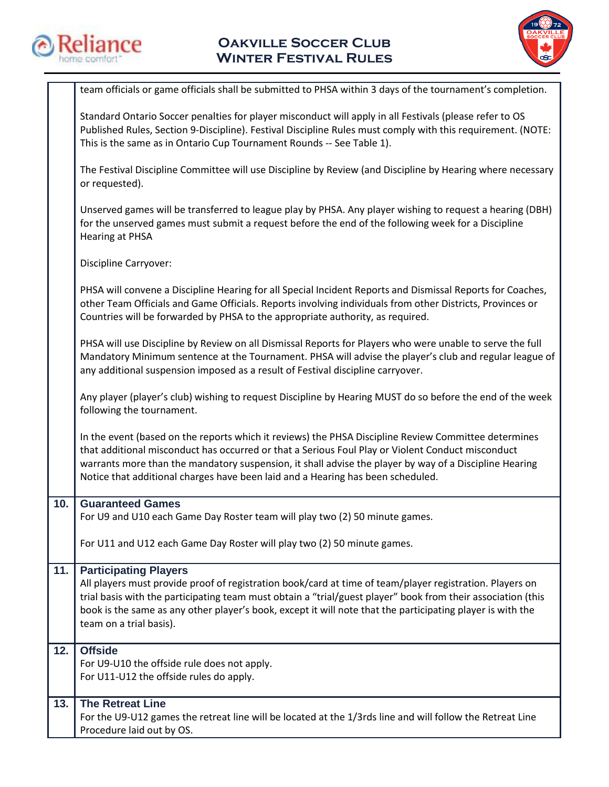



|     | team officials or game officials shall be submitted to PHSA within 3 days of the tournament's completion.                                                                                                                                                                                                                                                                                              |
|-----|--------------------------------------------------------------------------------------------------------------------------------------------------------------------------------------------------------------------------------------------------------------------------------------------------------------------------------------------------------------------------------------------------------|
|     | Standard Ontario Soccer penalties for player misconduct will apply in all Festivals (please refer to OS<br>Published Rules, Section 9-Discipline). Festival Discipline Rules must comply with this requirement. (NOTE:<br>This is the same as in Ontario Cup Tournament Rounds -- See Table 1).                                                                                                        |
|     | The Festival Discipline Committee will use Discipline by Review (and Discipline by Hearing where necessary<br>or requested).                                                                                                                                                                                                                                                                           |
|     | Unserved games will be transferred to league play by PHSA. Any player wishing to request a hearing (DBH)<br>for the unserved games must submit a request before the end of the following week for a Discipline<br><b>Hearing at PHSA</b>                                                                                                                                                               |
|     | Discipline Carryover:                                                                                                                                                                                                                                                                                                                                                                                  |
|     | PHSA will convene a Discipline Hearing for all Special Incident Reports and Dismissal Reports for Coaches,<br>other Team Officials and Game Officials. Reports involving individuals from other Districts, Provinces or<br>Countries will be forwarded by PHSA to the appropriate authority, as required.                                                                                              |
|     | PHSA will use Discipline by Review on all Dismissal Reports for Players who were unable to serve the full<br>Mandatory Minimum sentence at the Tournament. PHSA will advise the player's club and regular league of<br>any additional suspension imposed as a result of Festival discipline carryover.                                                                                                 |
|     | Any player (player's club) wishing to request Discipline by Hearing MUST do so before the end of the week<br>following the tournament.                                                                                                                                                                                                                                                                 |
|     | In the event (based on the reports which it reviews) the PHSA Discipline Review Committee determines<br>that additional misconduct has occurred or that a Serious Foul Play or Violent Conduct misconduct<br>warrants more than the mandatory suspension, it shall advise the player by way of a Discipline Hearing<br>Notice that additional charges have been laid and a Hearing has been scheduled. |
| 10. | <b>Guaranteed Games</b><br>For U9 and U10 each Game Day Roster team will play two (2) 50 minute games.                                                                                                                                                                                                                                                                                                 |
|     | For U11 and U12 each Game Day Roster will play two (2) 50 minute games.                                                                                                                                                                                                                                                                                                                                |
| 11. | <b>Participating Players</b><br>All players must provide proof of registration book/card at time of team/player registration. Players on<br>trial basis with the participating team must obtain a "trial/guest player" book from their association (this<br>book is the same as any other player's book, except it will note that the participating player is with the<br>team on a trial basis).      |
| 12. | <b>Offside</b><br>For U9-U10 the offside rule does not apply.<br>For U11-U12 the offside rules do apply.                                                                                                                                                                                                                                                                                               |
| 13. | <b>The Retreat Line</b><br>For the U9-U12 games the retreat line will be located at the 1/3rds line and will follow the Retreat Line<br>Procedure laid out by OS.                                                                                                                                                                                                                                      |